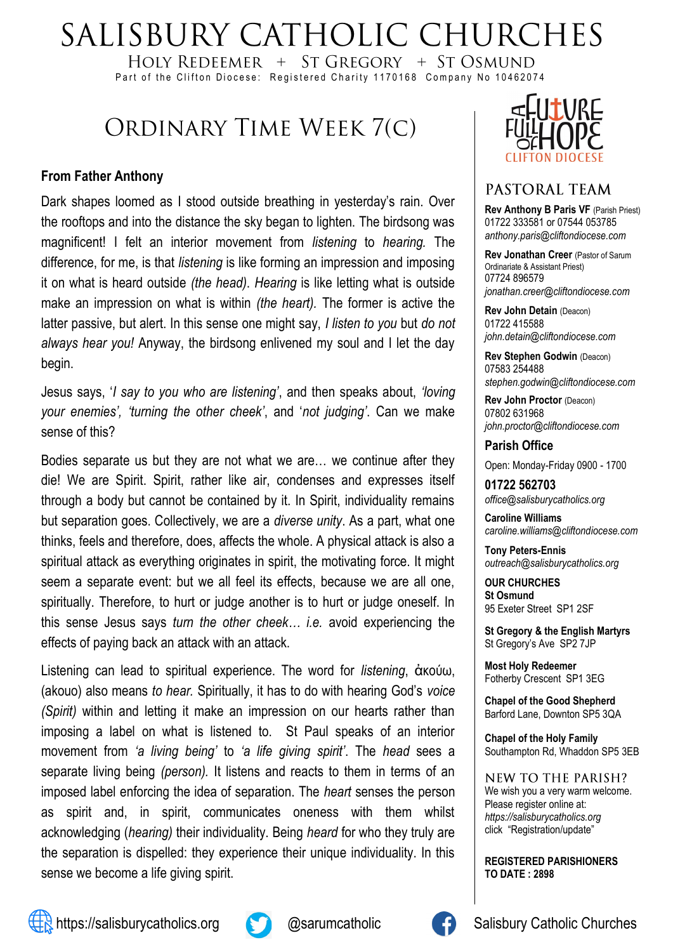# SALISBURY CATHOLIC CHURCHES

HOLY REDEEMER  $+$  ST GREGORY  $+$  ST OSMUND Part of the Clifton Diocese: Registered Charity 1170168 Company No 10462074

## ORDINARY TIME WEEK 7(C)

#### **From Father Anthony**

Dark shapes loomed as I stood outside breathing in yesterday's rain. Over the rooftops and into the distance the sky began to lighten. The birdsong was magnificent! I felt an interior movement from *listening* to *hearing.* The difference, for me, is that *listening* is like forming an impression and imposing it on what is heard outside *(the head)*. *Hearing* is like letting what is outside make an impression on what is within *(the heart).* The former is active the latter passive, but alert. In this sense one might say, *I listen to you* but *do not always hear you!* Anyway, the birdsong enlivened my soul and I let the day begin.

Jesus says, '*I say to you who are listening'*, and then speaks about, *'loving your enemies', 'turning the other cheek'*, and '*not judging'*. Can we make sense of this?

Bodies separate us but they are not what we are… we continue after they die! We are Spirit. Spirit, rather like air, condenses and expresses itself through a body but cannot be contained by it. In Spirit, individuality remains but separation goes. Collectively, we are a *diverse unity*. As a part, what one thinks, feels and therefore, does, affects the whole. A physical attack is also a spiritual attack as everything originates in spirit, the motivating force. It might seem a separate event: but we all feel its effects, because we are all one, spiritually. Therefore, to hurt or judge another is to hurt or judge oneself. In this sense Jesus says *turn the other cheek… i.e.* avoid experiencing the effects of paying back an attack with an attack.

Listening can lead to spiritual experience. The word for *listening*, ἀκούω, (akouo) also means *to hear.* Spiritually, it has to do with hearing God's *voice (Spirit)* within and letting it make an impression on our hearts rather than imposing a label on what is listened to. St Paul speaks of an interior movement from *'a living being'* to *'a life giving spirit'*. The *head* sees a separate living being *(person).* It listens and reacts to them in terms of an imposed label enforcing the idea of separation. The *heart* senses the person as spirit and, in spirit, communicates oneness with them whilst acknowledging (*hearing)* their individuality. Being *heard* for who they truly are the separation is dispelled: they experience their unique individuality. In this sense we become a life giving spirit.



### PASTORAL TEAM

**Rev Anthony B Paris VF (Parish Priest)** 01722 333581 or 07544 053785 *anthony.paris@cliftondiocese.com*

**Rev Jonathan Creer** (Pastor of Sarum Ordinariate & Assistant Priest) 07724 896579 *jonathan.creer@cliftondiocese.com*

**Rev John Detain** (Deacon) 01722 415588 *john.detain@cliftondiocese.com*

**Rev Stephen Godwin** (Deacon) 07583 254488 *stephen.godwin@cliftondiocese.com*

**Rev John Proctor** (Deacon) 07802 631968 *john.proctor@cliftondiocese.com*

#### **Parish Office**

Open: Monday-Friday 0900 - 1700

**01722 562703** *office@salisburycatholics.org*

**Caroline Williams** *caroline.williams@cliftondiocese.com*

**Tony Peters-Ennis** *outreach@salisburycatholics.org*

**OUR CHURCHES St Osmund** 95 Exeter Street SP1 2SF

**St Gregory & the English Martyrs** St Gregory's Ave SP2 7JP

**Most Holy Redeemer**  Fotherby Crescent SP1 3EG

**Chapel of the Good Shepherd** Barford Lane, Downton SP5 3QA

**Chapel of the Holy Family** Southampton Rd, Whaddon SP5 3EB

NEW TO THE PARISH? We wish you a very warm welcome. Please register online at: *[https://salisburycatholics.org](https://p1.pamis.co.uk/salisbury/onlined01cab)*  [click "Registration/update"](https://p1.pamis.co.uk/salisbury/onlined01cab) 

**REGISTERED PARISHIONERS TO DATE : 2898**



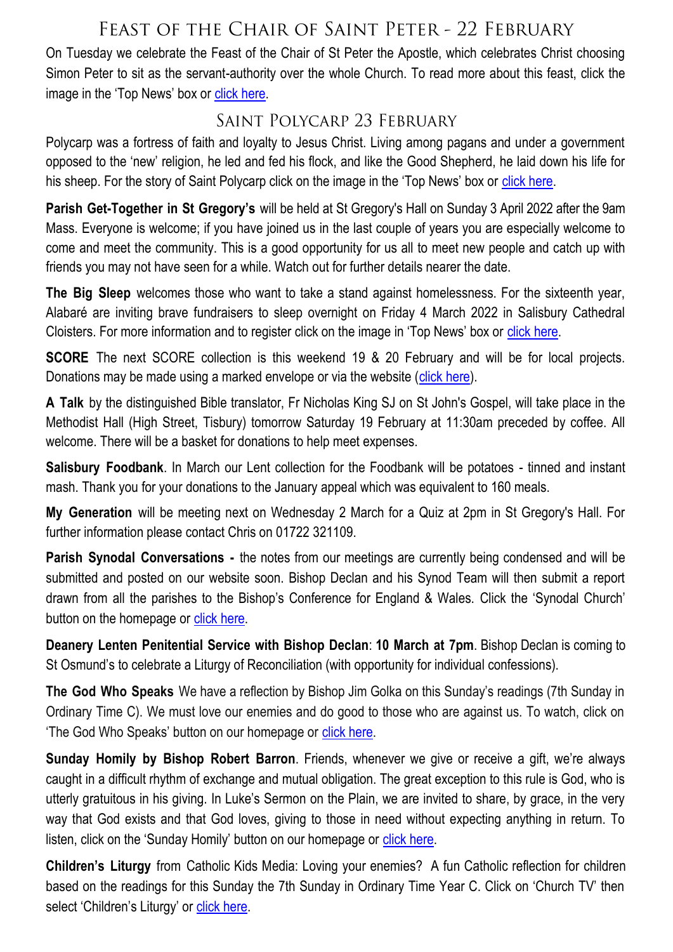## FEAST OF THE CHAIR OF SAINT PETER - 22 FEBRUARY

On Tuesday we celebrate the Feast of the Chair of St Peter the Apostle, which celebrates Christ choosing Simon Peter to sit as the servant-authority over the whole Church. To read more about this feast, click the image in the 'Top News' box or [click here.](https://salisburycatholics.org/blog/feast-chair-st-peter)

## SAINT POLYCARP 23 FEBRUARY

Polycarp was a fortress of faith and loyalty to Jesus Christ. Living among pagans and under a government opposed to the 'new' religion, he led and fed his flock, and like the Good Shepherd, he laid down his life for his sheep. For the story of Saint Polycarp click on the image in the 'Top News' box or [click here.](https://salisburycatholics.org/blog/saint-polycarp)

**Parish Get-Together in St Gregory's** will be held at St Gregory's Hall on Sunday 3 April 2022 after the 9am Mass. Everyone is welcome; if you have joined us in the last couple of years you are especially welcome to come and meet the community. This is a good opportunity for us all to meet new people and catch up with friends you may not have seen for a while. Watch out for further details nearer the date.

**The Big Sleep** welcomes those who want to take a stand against homelessness. For the sixteenth year, Alabaré are inviting brave fundraisers to sleep overnight on Friday 4 March 2022 in Salisbury Cathedral Cloisters. For more information and to register click on the image in 'Top News' box or [click here.](https://salisburycatholics.org/blog/big-sleep-0)

**SCORE** The next SCORE collection is this weekend 19 & 20 February and will be for local projects. Donations may be made using a marked envelope or via the website ([click here\).](https://salisburycatholics.org/donate-0)

**A Talk** by the distinguished Bible translator, Fr Nicholas King SJ on St John's Gospel, will take place in the Methodist Hall (High Street, Tisbury) tomorrow Saturday 19 February at 11:30am preceded by coffee. All welcome. There will be a basket for donations to help meet expenses.

**Salisbury Foodbank**. In March our Lent collection for the Foodbank will be potatoes - tinned and instant mash. Thank you for your donations to the January appeal which was equivalent to 160 meals.

**My Generation** will be meeting next on Wednesday 2 March for a Quiz at 2pm in St Gregory's Hall. For further information please contact Chris on 01722 321109.

**Parish Synodal Conversations -** the notes from our meetings are currently being condensed and will be submitted and posted on our website soon. Bishop Declan and his Synod Team will then submit a report drawn from all the parishes to the Bishop's Conference for England & Wales. Click the 'Synodal Church' button on the homepage or click here.

**Deanery Lenten Penitential Service with Bishop Declan**: **10 March at 7pm**. Bishop Declan is coming to St Osmund's to celebrate a Liturgy of Reconciliation (with opportunity for individual confessions).

**The God Who Speaks** We have a reflection by Bishop Jim Golka on this Sunday's readings (7th Sunday in Ordinary Time C). We must love our enemies and do good to those who are against us. To watch, click on 'The God Who Speaks' button on our homepage or [click here.](https://salisburycatholics.org/god-who-speaks)

**Sunday Homily by Bishop Robert Barron**. Friends, whenever we give or receive a gift, we're always caught in a difficult rhythm of exchange and mutual obligation. The great exception to this rule is God, who is utterly gratuitous in his giving. In Luke's Sermon on the Plain, we are invited to share, by grace, in the very way that God exists and that God loves, giving to those in need without expecting anything in return. To listen, click on the 'Sunday Homily' button on our homepage or [click here.](https://salisburycatholics.org/sunday-homily)

**Children's Liturgy** from Catholic Kids Media: Loving your enemies? A fun Catholic reflection for children based on the readings for this Sunday the 7th Sunday in Ordinary Time Year C. Click on 'Church TV' then select 'Children's Liturgy' or click here.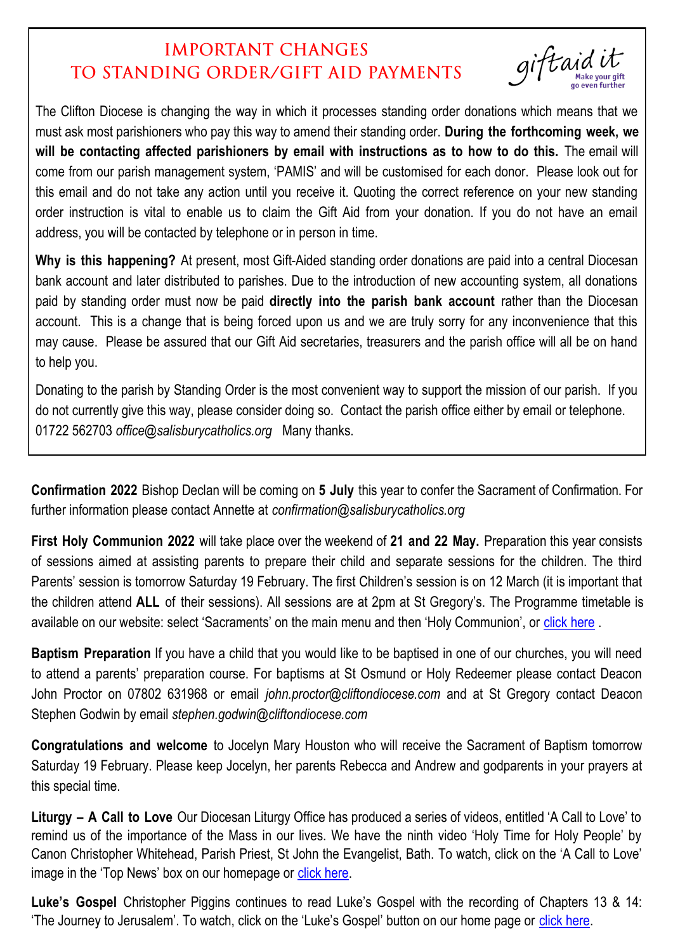## **IMPORTANT CHANGES** TO STANDING ORDER/GIFT AID PAYMENTS

giftaidi

The Clifton Diocese is changing the way in which it processes standing order donations which means that we must ask most parishioners who pay this way to amend their standing order. **During the forthcoming week, we will be contacting affected parishioners by email with instructions as to how to do this.** The email will come from our parish management system, 'PAMIS' and will be customised for each donor. Please look out for this email and do not take any action until you receive it. Quoting the correct reference on your new standing order instruction is vital to enable us to claim the Gift Aid from your donation. If you do not have an email address, you will be contacted by telephone or in person in time.

**Why is this happening?** At present, most Gift-Aided standing order donations are paid into a central Diocesan bank account and later distributed to parishes. Due to the introduction of new accounting system, all donations paid by standing order must now be paid **directly into the parish bank account** rather than the Diocesan account. This is a change that is being forced upon us and we are truly sorry for any inconvenience that this may cause. Please be assured that our Gift Aid secretaries, treasurers and the parish office will all be on hand to help you.

Donating to the parish by Standing Order is the most convenient way to support the mission of our parish. If you do not currently give this way, please consider doing so. Contact the parish office either by email or telephone. 01722 562703 *office@salisburycatholics.org* Many thanks.

**Confirmation 2022** Bishop Declan will be coming on **5 July** this year to confer the Sacrament of Confirmation. For further information please contact Annette at *confirmation@salisburycatholics.org*

**First Holy Communion 2022** will take place over the weekend of **21 and 22 May.** Preparation this year consists of sessions aimed at assisting parents to prepare their child and separate sessions for the children. The third Parents' session is tomorrow Saturday 19 February. The first Children's session is on 12 March (it is important that the children attend **ALL** of their sessions). All sessions are at 2pm at St Gregory's. The Programme timetable is available on our website: select 'Sacraments' on the main menu and then 'Holy Communion', or [click here](https://salisburycatholics.org/holy-communion).

**Baptism Preparation** If you have a child that you would like to be baptised in one of our churches, you will need to attend a parents' preparation course. For baptisms at St Osmund or Holy Redeemer please contact Deacon John Proctor on 07802 631968 or email *john.proctor@cliftondiocese.com* and at St Gregory contact Deacon Stephen Godwin by email *stephen.godwin@cliftondiocese.com*

**Congratulations and welcome** to Jocelyn Mary Houston who will receive the Sacrament of Baptism tomorrow Saturday 19 February. Please keep Jocelyn, her parents Rebecca and Andrew and godparents in your prayers at this special time.

**Liturgy – A Call to Love** Our Diocesan Liturgy Office has produced a series of videos, entitled 'A Call to Love' to remind us of the importance of the Mass in our lives. We have the ninth video 'Holy Time for Holy People' by Canon Christopher Whitehead, Parish Priest, St John the Evangelist, Bath. To watch, click on the 'A Call to Love' image in the 'Top News' box on our homepage or [click here.](https://salisburycatholics.org/call-love)

**Luke's Gospel** Christopher Piggins continues to read Luke's Gospel with the recording of Chapters 13 & 14: 'The Journey to Jerusalem'. To watch, click on the 'Luke's Gospel' button on our home page or [click here.](https://salisburycatholics.org/lukes-gospel)